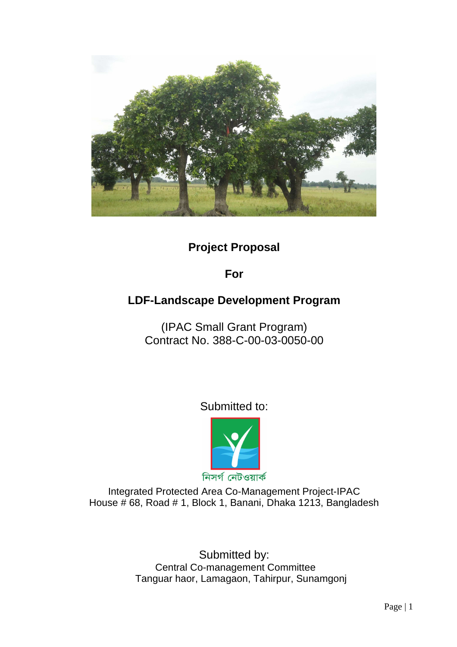

**Project Proposal** 

**For** 

# **LDF-Landscape Development Program**

(IPAC Small Grant Program) Contract No. 388-C-00-03-0050-00

Submitted to:



Integrated Protected Area Co-Management Project-IPAC House # 68, Road # 1, Block 1, Banani, Dhaka 1213, Bangladesh

> Submitted by: Central Co-management Committee Tanguar haor, Lamagaon, Tahirpur, Sunamgonj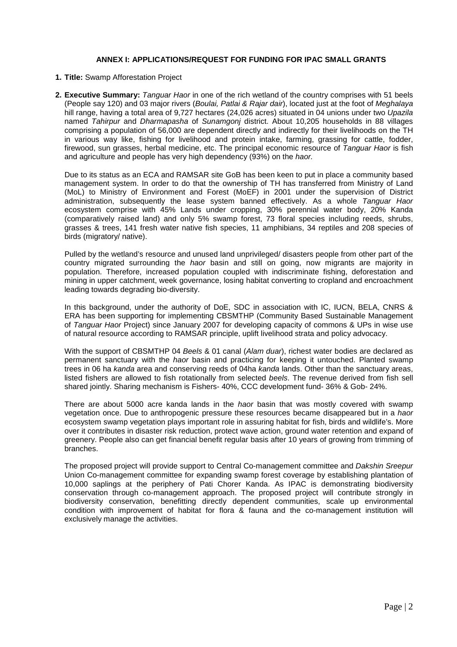#### **ANNEX I: APPLICATIONS/REQUEST FOR FUNDING FOR IPAC SMALL GRANTS**

- **1. Title:** Swamp Afforestation Project
- **2. Executive Summary:** Tanguar Haor in one of the rich wetland of the country comprises with 51 beels (People say 120) and 03 major rivers (Boulai, Patlai & Rajar dair), located just at the foot of Meghalaya hill range, having a total area of 9,727 hectares (24,026 acres) situated in 04 unions under two Upazila named Tahirpur and Dharmapasha of Sunamgonj district. About 10,205 households in 88 villages comprising a population of 56,000 are dependent directly and indirectly for their livelihoods on the TH in various way like, fishing for livelihood and protein intake, farming, grassing for cattle, fodder, firewood, sun grasses, herbal medicine, etc. The principal economic resource of Tanguar Haor is fish and agriculture and people has very high dependency (93%) on the haor.

Due to its status as an ECA and RAMSAR site GoB has been keen to put in place a community based management system. In order to do that the ownership of TH has transferred from Ministry of Land (MoL) to Ministry of Environment and Forest (MoEF) in 2001 under the supervision of District administration, subsequently the lease system banned effectively. As a whole Tanguar Haor ecosystem comprise with 45% Lands under cropping, 30% perennial water body, 20% Kanda (comparatively raised land) and only 5% swamp forest, 73 floral species including reeds, shrubs, grasses & trees, 141 fresh water native fish species, 11 amphibians, 34 reptiles and 208 species of birds (migratory/ native).

Pulled by the wetland's resource and unused land unprivileged/ disasters people from other part of the country migrated surrounding the *haor* basin and still on going, now migrants are majority in population. Therefore, increased population coupled with indiscriminate fishing, deforestation and mining in upper catchment, week governance, losing habitat converting to cropland and encroachment leading towards degrading bio-diversity.

In this background, under the authority of DoE, SDC in association with IC, IUCN, BELA, CNRS & ERA has been supporting for implementing CBSMTHP (Community Based Sustainable Management of Tanguar Haor Project) since January 2007 for developing capacity of commons & UPs in wise use of natural resource according to RAMSAR principle, uplift livelihood strata and policy advocacy.

With the support of CBSMTHP 04 Beels & 01 canal (Alam duar), richest water bodies are declared as permanent sanctuary with the haor basin and practicing for keeping it untouched. Planted swamp trees in 06 ha kanda area and conserving reeds of 04ha kanda lands. Other than the sanctuary areas, listed fishers are allowed to fish rotationally from selected beels. The revenue derived from fish sell shared jointly. Sharing mechanism is Fishers- 40%, CCC development fund- 36% & Gob- 24%.

There are about 5000 acre kanda lands in the *haor* basin that was mostly covered with swamp vegetation once. Due to anthropogenic pressure these resources became disappeared but in a haor ecosystem swamp vegetation plays important role in assuring habitat for fish, birds and wildlife's. More over it contributes in disaster risk reduction, protect wave action, ground water retention and expand of greenery. People also can get financial benefit regular basis after 10 years of growing from trimming of branches.

The proposed project will provide support to Central Co-management committee and Dakshin Sreepur Union Co-management committee for expanding swamp forest coverage by establishing plantation of 10,000 saplings at the periphery of Pati Chorer Kanda. As IPAC is demonstrating biodiversity conservation through co-management approach. The proposed project will contribute strongly in biodiversity conservation, benefitting directly dependent communities, scale up environmental condition with improvement of habitat for flora & fauna and the co-management institution will exclusively manage the activities.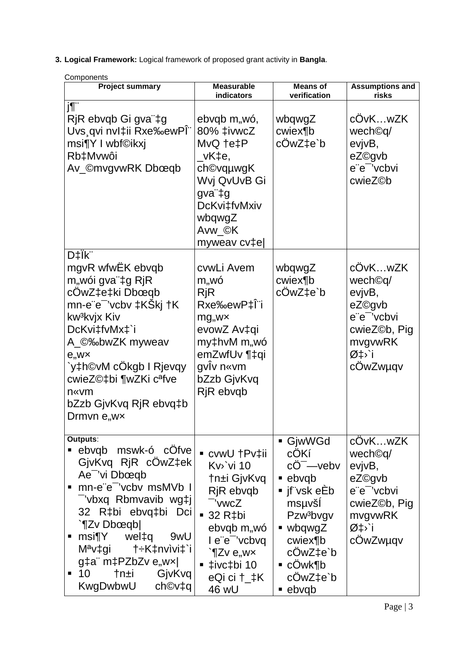3. Logical Framework: Logical framework of proposed grant activity in Bangla.

| Components                                                                                                                                                                                                                                                                                                   |                                                                                                                                                                                         |                                                                                                                                                                                                                      |                                                                                                                                        |
|--------------------------------------------------------------------------------------------------------------------------------------------------------------------------------------------------------------------------------------------------------------------------------------------------------------|-----------------------------------------------------------------------------------------------------------------------------------------------------------------------------------------|----------------------------------------------------------------------------------------------------------------------------------------------------------------------------------------------------------------------|----------------------------------------------------------------------------------------------------------------------------------------|
| <b>Project summary</b>                                                                                                                                                                                                                                                                                       | <b>Measurable</b><br>indicators                                                                                                                                                         | <b>Means of</b><br>verification                                                                                                                                                                                      | <b>Assumptions and</b><br>risks                                                                                                        |
| j¶"<br>RjR ebvqb Gi gva"‡g<br>Uvs qvi nvl‡ii Rxe‰ewPl"<br>msi¶Y I wbf©ikxj<br>Rb‡Mvwôi<br>Av_©mvgvwRK Dbœqb                                                                                                                                                                                                  | ebvqb m,wó,<br>80% ‡ivwcZ<br>MvQ †e‡P<br>_vK‡e,<br>ch©vqµwgK<br>Wvj QvUvB Gi<br>gva"‡g<br>DcKvi‡fvMxiv<br>wbqwgZ<br>Avw_©K<br>myweav cv‡e                                               | wbqwgZ<br>cwiex¶b<br>cOwZ‡e`b                                                                                                                                                                                        | cOvKwZK<br>wech <sup>©q/</sup><br>evjvB,<br>eZ©gvb<br>e"e" 'vcbvi<br>cwieZ©b                                                           |
| D‡Îk"<br>mgvR wfwEK ebvqb<br>m"wói gva"‡g RjR<br>cOwZ‡e‡ki Dbœqb<br>mn-e¨e <sup>−</sup> 'vcbv ‡KŠkj †K<br>kw <sup>3</sup> kvjx Kiv<br>DcKvi‡fvMx‡`i<br>A_©‰bwZK myweav<br>$e_{,}$ w $\times$<br>`y‡h©vM cOkgb I Rjevqy<br>cwieZ©‡bi ¶wZKi c <sup>a</sup> fve<br>n«vm<br>bZzb GjvKvq RjR ebvq‡b<br>Drmvn e,wx | cvwLi Avem<br>m,,wó<br>RjR<br>Rxe‰ewP‡lii<br>$mg_{,}$ w $\times$<br>evowZ Av‡qi<br>my‡hvM m"wó<br>emZwfUv ¶‡qi<br>gviv n«vm<br>bZzb GjvKvq<br>RjR ebvqb                                 | wbqwgZ<br>cwiex¶b<br>cOwZ‡e`b                                                                                                                                                                                        | cÖvKwZK<br>wech©q/<br>evjvB,<br>eZ©gvb<br>e"e" 'vcbvi<br>cwieZ©b, Pig<br>mvgvwRK<br>؇ <sup>,</sup> `i<br>cOwZwµqv                      |
| Outputs:<br>ebvqb mswk-ó cOfve<br>GjvKvq RjR cOwZ‡ek<br>Ae <sup>-</sup> 'vi Dbœqb<br>mn-e"e" 'vcbv msMVb I<br>٠<br>-'vbxq Rbmvavib wg‡j<br>32 R‡bi ebvq‡bi Dci<br>`¶Zv Dbœqb <br>msi¶Y wel‡q 9wU<br>п<br>$M^a$ v‡gi †÷K‡nvìvi‡`i<br>g‡a" m‡PZbZv e"w× <br>10<br>†n±i GjvKvq<br>٠<br>KwgDwbwU ch©v‡q          | ■ cvwU †Pv‡ii<br>$Kv$ vi 10<br>†n±i GjvKvq<br>RjR ebvqb<br>- 'vwcZ<br>$\blacksquare$ 32 R‡bi<br>ebvqb m,wó<br>l e"e" 'vcbvq<br>$\Im Zv \in W$<br>$-$ ‡ivc‡bi 10<br>eQi ci †_‡K<br>46 wU | ■ GjwWGd<br><b>cOKí</b><br>$cO^{-}$ -vebv<br>• ebvqb<br>■ jf¨vsk eEb<br>msuvšl<br>Pzw <sup>3</sup> bvgv<br>$\blacksquare$ wbqwgZ<br>cwiex¶b<br>cOwZ‡e`b<br>$\blacksquare$ cOwk¶b<br>cÖwZ‡e`b<br>$\blacksquare$ ebvqb | cOvKwZK<br>wech <sup>©q/</sup><br>evjvB,<br>eZ©gvb<br>e"e" 'vcbvi<br>cwieZ©b, Pig<br>mvgvwRK<br>$\varnothing$ ‡ $\cdot$ `i<br>cOwZwµqv |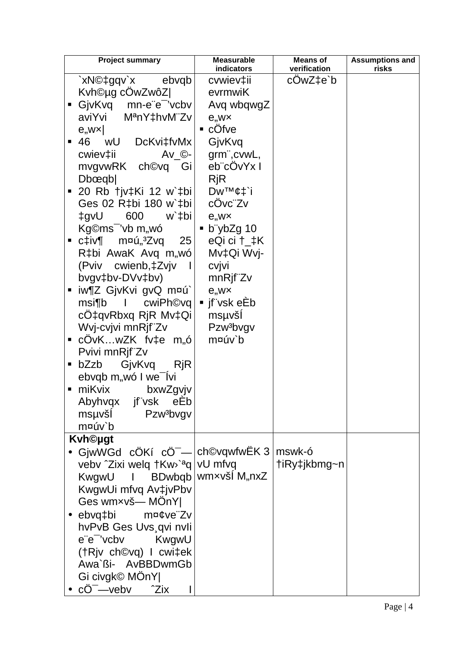|   | <b>Project summary</b>                     | <b>Measurable</b><br>indicators                               | <b>Means of</b><br>verification | <b>Assumptions and</b> |
|---|--------------------------------------------|---------------------------------------------------------------|---------------------------------|------------------------|
|   |                                            | cvwiev‡ii                                                     | cOwZ‡e`b                        | risks                  |
|   | `xN©‡gqv`x ebvqb <br>Kvh©µg cOwZwôZ        | evrmwiK                                                       |                                 |                        |
| п | GjvKvq mn-e"e <sup>-</sup> 'vcbv           | Avq wbqwgZ                                                    |                                 |                        |
|   | aviYvi M <sup>a</sup> nY‡hvM"Zv            | $e,$ w $\times$                                               |                                 |                        |
|   | e, wx                                      | $\blacksquare$ cOfve                                          |                                 |                        |
|   | ■ 46 wU DcKvi‡fvMx                         | GjvKvq                                                        |                                 |                        |
|   | $\mathsf{Av\_C}\text{-}$<br>cwiev‡ii       | grm", cvwL,                                                   |                                 |                        |
|   | mvgvwRK ch©vq Gi                           | eb"cOvYx I                                                    |                                 |                        |
|   | D <sub>b</sub> œqb                         | <b>RjR</b>                                                    |                                 |                        |
|   | ■ 20 Rb †jv‡Ki 12 w`‡bi                    | Dw™¢‡`i                                                       |                                 |                        |
|   | Ges 02 R‡bi 180 w`‡bi                      | cOvc"Zv                                                       |                                 |                        |
|   | Uvp‡<br>600<br>w`‡bi                       | $e_{,}$ w $\times$                                            |                                 |                        |
|   | Kg©ms <sup>-</sup> 'vb m,,wó               | $\bullet$ b ybZg 10                                           |                                 |                        |
|   | ▪ c‡iv¶    m¤ú"ªZvq<br>25                  | eQi ci †_‡K                                                   |                                 |                        |
|   | R‡bi AwaK Avq m,wó                         | Mv‡Qi Wvj-                                                    |                                 |                        |
|   | (Pviv cwienb, ‡Zvjv                        | cvjvi                                                         |                                 |                        |
|   | bvgv‡bv-DVv‡bv)                            | mnRjf"Zv                                                      |                                 |                        |
| п | iw¶Z GjvKvi gvQ m¤ú`∣                      | $e,$ w $\times$                                               |                                 |                        |
|   | msi¶b I cwiPh©vq                           | $\blacksquare$ jf $\ddot{\hspace{0.1cm}}$ vsk e $\mathsf{Eb}$ |                                 |                        |
|   | cO‡qvRbxq RjR Mv‡Qi                        | msuvši                                                        |                                 |                        |
|   | Wvj-cvjvi mnRjf"Zv                         | Pzw <sup>3</sup> bvgv                                         |                                 |                        |
|   | ■ cOvKwZK fv‡e m"ó                         | m¤úv`b                                                        |                                 |                        |
|   | Pvivi mnRjf"Zv                             |                                                               |                                 |                        |
| п | GjvKvq<br>bZzb<br>RjR                      |                                                               |                                 |                        |
|   | ebvqb m,, wó I we lvi                      |                                                               |                                 |                        |
| ٠ | miKvix<br>bxwZgvjv                         |                                                               |                                 |                        |
|   | jf"vsk<br>Abyhvgx<br>eEb                   |                                                               |                                 |                        |
|   | msµvšĺ<br>Pzw <sup>3</sup> bvgv            |                                                               |                                 |                        |
|   | m¤úv`b                                     |                                                               |                                 |                        |
|   | <b>Kvh©ugt</b>                             |                                                               |                                 |                        |
|   | GjwWGd cÖKí cÖ <sup>-</sup> - ch©vqwfwËK 3 |                                                               | mswk-ó                          |                        |
|   | vebv ^Zixi welq †Kw>`aq vU mfvq            |                                                               | †iRy‡jkbmg~n                    |                        |
|   | KwgwU                                      | I BDwbqb   wmxvšl M"nxZ                                       |                                 |                        |
|   | KwgwUi mfvq Av‡jvPbv                       |                                                               |                                 |                        |
|   | Ges wmxvš-MOnY                             |                                                               |                                 |                        |
|   | ebvq‡bi<br>m¤¢ve"Zv                        |                                                               |                                 |                        |
|   | hvPvB Ges Uvs qvi nvli                     |                                                               |                                 |                        |
|   | e"e" 'vcbv KwgwU                           |                                                               |                                 |                        |
|   | (†Rjv ch©vq) I cwi‡ek                      |                                                               |                                 |                        |
|   | Awa`ßi- AvBBDwmGb                          |                                                               |                                 |                        |
|   | Gi civgk© MÖnY                             |                                                               |                                 |                        |
|   | $c\ddot{O}^{-}$ -veby $\hat{C}$ $Z$ ix     |                                                               |                                 |                        |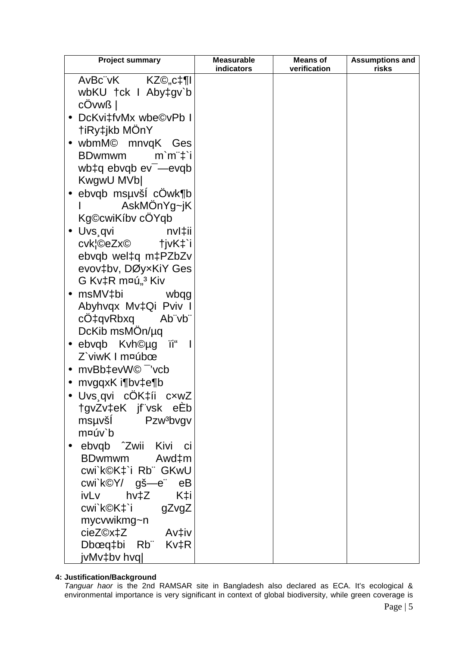| <b>Project summary</b>             | <b>Measurable</b><br>indicators | <b>Means of</b><br>verification | <b>Assumptions and</b><br>risks |
|------------------------------------|---------------------------------|---------------------------------|---------------------------------|
| AvBc"vK KZ©,,c‡¶l                  |                                 |                                 |                                 |
| wbKU tck I Abytgv`b                |                                 |                                 |                                 |
| cOvwß                              |                                 |                                 |                                 |
| DcKvi‡fvMx wbe©vPb I<br>$\bullet$  |                                 |                                 |                                 |
| <b>tiRy‡jkb MOnY</b>               |                                 |                                 |                                 |
| · wbmM© mnvqK Ges                  |                                 |                                 |                                 |
| <b>BDwmwm</b><br>$m'm''\ddagger i$ |                                 |                                 |                                 |
| wb $\ddagger q$ ebvqb $ev^-$ —evqb |                                 |                                 |                                 |
| KwgwU MVb                          |                                 |                                 |                                 |
| $\bullet$ ebvqb msµvši cOwk¶b      |                                 |                                 |                                 |
| AskMOnYg~jK                        |                                 |                                 |                                 |
| Kg©cwiKíbv cÓYqb                   |                                 |                                 |                                 |
| • Uvs.qvi<br>nvl‡ii                |                                 |                                 |                                 |
| cvk¦©eZx©<br>tjvK‡`i               |                                 |                                 |                                 |
| ebvqb wel‡q m‡PZbZv                |                                 |                                 |                                 |
| evov‡bv, DØyxKiY Ges               |                                 |                                 |                                 |
| G Kv‡R m¤ú" <sup>3</sup> Kiv       |                                 |                                 |                                 |
| msMV‡bi wbqg                       |                                 |                                 |                                 |
| Abyhvqx Mv‡Qi Pviv I               |                                 |                                 |                                 |
| cO‡qvRbxq<br>Ab¨vb¨                |                                 |                                 |                                 |
| DcKib msMOn/µq                     |                                 |                                 |                                 |
| Ϊi"<br>$\bullet$ ebvqb Kvh©µg      |                                 |                                 |                                 |
| Z`viwK I m¤úbœ                     |                                 |                                 |                                 |
| • $mvBb\text{+}evW@^-$ 'vcb        |                                 |                                 |                                 |
| • $m$ vgqx $K$ i¶bv $\pm$ e¶b      |                                 |                                 |                                 |
| Uvs qvi cOK‡íi<br>$c$ xw $Z$       |                                 |                                 |                                 |
| tgvZv‡eK jf vsk eEb                |                                 |                                 |                                 |
| msµvšl Pzw <sup>3</sup> bvgv       |                                 |                                 |                                 |
| m¤úv`b                             |                                 |                                 |                                 |
| ebvqb ^Zwii Kivi ci                |                                 |                                 |                                 |
| BDwmwm Awd‡m                       |                                 |                                 |                                 |
| cwi`k©K‡`i Rb¨ GKwU                |                                 |                                 |                                 |
| cwi`k©Y/ gš—e¨ eB                  |                                 |                                 |                                 |
| ivLv hv‡Z K‡i                      |                                 |                                 |                                 |
| cwi`k©K‡`i gZvgZ                   |                                 |                                 |                                 |
| mycvwikmg~n                        |                                 |                                 |                                 |
| cieZ©x‡Z Av‡iv                     |                                 |                                 |                                 |
| Dbœq‡bi Rb Kv‡R                    |                                 |                                 |                                 |
| jvMv‡bv hvq                        |                                 |                                 |                                 |

# 4: Justification/Background

Tanguar haor is the 2nd RAMSAR site in Bangladesh also declared as ECA. It's ecological & environmental importance is very significant in context of global biodiversity, while green coverage is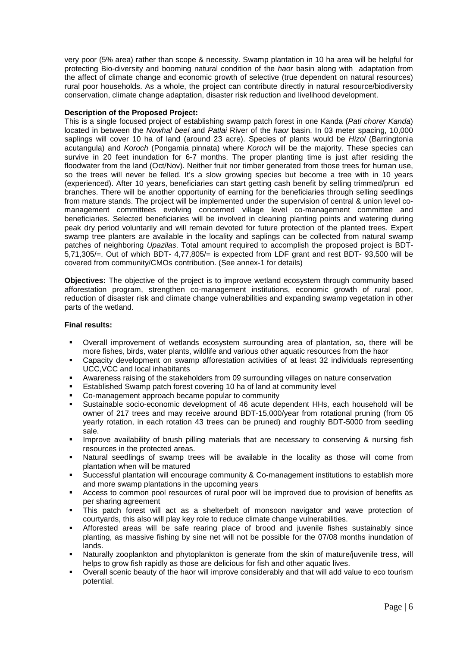very poor (5% area) rather than scope & necessity. Swamp plantation in 10 ha area will be helpful for protecting Bio-diversity and booming natural condition of the haor basin along with adaptation from the affect of climate change and economic growth of selective (true dependent on natural resources) rural poor households. As a whole, the project can contribute directly in natural resource/biodiversity conservation, climate change adaptation, disaster risk reduction and livelihood development.

#### **Description of the Proposed Project:**

This is a single focused project of establishing swamp patch forest in one Kanda (Pati chorer Kanda) located in between the Nowhal beel and Patlai River of the haor basin. In 03 meter spacing, 10,000 saplings will cover 10 ha of land (around 23 acre). Species of plants would be Hizol (Barringtonia acutangula) and Koroch (Pongamia pinnata) where Koroch will be the majority. These species can survive in 20 feet inundation for 6-7 months. The proper planting time is just after residing the floodwater from the land (Oct/Nov). Neither fruit nor timber generated from those trees for human use, so the trees will never be felled. It's a slow growing species but become a tree with in 10 years (experienced). After 10 years, beneficiaries can start getting cash benefit by selling trimmed/prun ed branches. There will be another opportunity of earning for the beneficiaries through selling seedlings from mature stands. The project will be implemented under the supervision of central & union level comanagement committees evolving concerned village level co-management committee and beneficiaries. Selected beneficiaries will be involved in cleaning planting points and watering during peak dry period voluntarily and will remain devoted for future protection of the planted trees. Expert swamp tree planters are available in the locality and saplings can be collected from natural swamp patches of neighboring Upazilas. Total amount required to accomplish the proposed project is BDT-5,71,305/=. Out of which BDT- 4,77,805/= is expected from LDF grant and rest BDT- 93,500 will be covered from community/CMOs contribution. (See annex-1 for details)

**Objectives:** The objective of the project is to improve wetland ecosystem through community based afforestation program, strengthen co-management institutions, economic growth of rural poor, reduction of disaster risk and climate change vulnerabilities and expanding swamp vegetation in other parts of the wetland.

# **Final results:**

- Overall improvement of wetlands ecosystem surrounding area of plantation, so, there will be more fishes, birds, water plants, wildlife and various other aquatic resources from the haor
- Capacity development on swamp afforestation activities of at least 32 individuals representing UCC,VCC and local inhabitants
- Awareness raising of the stakeholders from 09 surrounding villages on nature conservation
- Established Swamp patch forest covering 10 ha of land at community level
- Co-management approach became popular to community
- Sustainable socio-economic development of 46 acute dependent HHs, each household will be owner of 217 trees and may receive around BDT-15,000/year from rotational pruning (from 05 yearly rotation, in each rotation 43 trees can be pruned) and roughly BDT-5000 from seedling sale.
- Improve availability of brush pilling materials that are necessary to conserving & nursing fish resources in the protected areas.
- Natural seedlings of swamp trees will be available in the locality as those will come from plantation when will be matured
- Successful plantation will encourage community & Co-management institutions to establish more and more swamp plantations in the upcoming years
- Access to common pool resources of rural poor will be improved due to provision of benefits as per sharing agreement
- This patch forest will act as a shelterbelt of monsoon navigator and wave protection of courtyards, this also will play key role to reduce climate change vulnerabilities.
- Afforested areas will be safe rearing place of brood and juvenile fishes sustainably since planting, as massive fishing by sine net will not be possible for the 07/08 months inundation of lands.
- Naturally zooplankton and phytoplankton is generate from the skin of mature/juvenile tress, will helps to grow fish rapidly as those are delicious for fish and other aquatic lives.
- Overall scenic beauty of the haor will improve considerably and that will add value to eco tourism potential.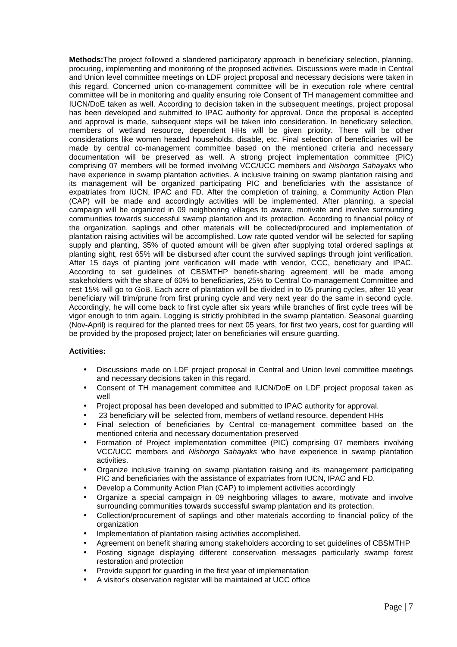**Methods:**The project followed a slandered participatory approach in beneficiary selection, planning, procuring, implementing and monitoring of the proposed activities. Discussions were made in Central and Union level committee meetings on LDF project proposal and necessary decisions were taken in this regard. Concerned union co-management committee will be in execution role where central committee will be in monitoring and quality ensuring role Consent of TH management committee and IUCN/DoE taken as well. According to decision taken in the subsequent meetings, project proposal has been developed and submitted to IPAC authority for approval. Once the proposal is accepted and approval is made, subsequent steps will be taken into consideration. In beneficiary selection, members of wetland resource, dependent HHs will be given priority. There will be other considerations like women headed households, disable, etc. Final selection of beneficiaries will be made by central co-management committee based on the mentioned criteria and necessary documentation will be preserved as well. A strong project implementation committee (PIC) comprising 07 members will be formed involving VCC/UCC members and Nishorgo Sahayaks who have experience in swamp plantation activities. A inclusive training on swamp plantation raising and its management will be organized participating PIC and beneficiaries with the assistance of expatriates from IUCN, IPAC and FD. After the completion of training, a Community Action Plan (CAP) will be made and accordingly activities will be implemented. After planning, a special campaign will be organized in 09 neighboring villages to aware, motivate and involve surrounding communities towards successful swamp plantation and its protection. According to financial policy of the organization, saplings and other materials will be collected/procured and implementation of plantation raising activities will be accomplished. Low rate quoted vendor will be selected for sapling supply and planting, 35% of quoted amount will be given after supplying total ordered saplings at planting sight, rest 65% will be disbursed after count the survived saplings through joint verification. After 15 days of planting joint verification will made with vendor, CCC, beneficiary and IPAC. According to set guidelines of CBSMTHP benefit-sharing agreement will be made among stakeholders with the share of 60% to beneficiaries, 25% to Central Co-management Committee and rest 15% will go to GoB. Each acre of plantation will be divided in to 05 pruning cycles, after 10 year beneficiary will trim/prune from first pruning cycle and very next year do the same in second cycle. Accordingly, he will come back to first cycle after six years while branches of first cycle trees will be vigor enough to trim again. Logging is strictly prohibited in the swamp plantation. Seasonal guarding (Nov-April) is required for the planted trees for next 05 years, for first two years, cost for guarding will be provided by the proposed project; later on beneficiaries will ensure guarding.

# **Activities:**

- Discussions made on LDF project proposal in Central and Union level committee meetings and necessary decisions taken in this regard.
- Consent of TH management committee and IUCN/DoE on LDF project proposal taken as well
- Project proposal has been developed and submitted to IPAC authority for approval.
- 23 beneficiary will be selected from, members of wetland resource, dependent HHs
- Final selection of beneficiaries by Central co-management committee based on the mentioned criteria and necessary documentation preserved
- Formation of Project implementation committee (PIC) comprising 07 members involving VCC/UCC members and Nishorgo Sahayaks who have experience in swamp plantation activities.
- Organize inclusive training on swamp plantation raising and its management participating PIC and beneficiaries with the assistance of expatriates from IUCN, IPAC and FD.
- Develop a Community Action Plan (CAP) to implement activities accordingly
- Organize a special campaign in 09 neighboring villages to aware, motivate and involve surrounding communities towards successful swamp plantation and its protection.
- Collection/procurement of saplings and other materials according to financial policy of the organization
- Implementation of plantation raising activities accomplished.
- Agreement on benefit sharing among stakeholders according to set guidelines of CBSMTHP
- Posting signage displaying different conservation messages particularly swamp forest restoration and protection
- Provide support for guarding in the first year of implementation
- A visitor's observation register will be maintained at UCC office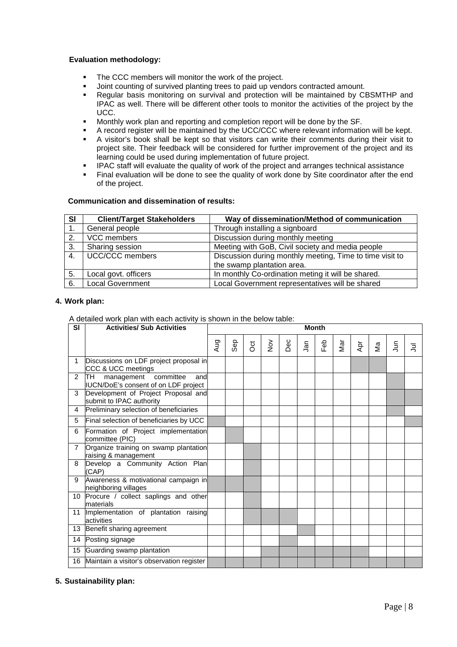# **Evaluation methodology:**

- The CCC members will monitor the work of the project.
- Joint counting of survived planting trees to paid up vendors contracted amount.
- Regular basis monitoring on survival and protection will be maintained by CBSMTHP and IPAC as well. There will be different other tools to monitor the activities of the project by the UCC.
- Monthly work plan and reporting and completion report will be done by the SF.
- A record register will be maintained by the UCC/CCC where relevant information will be kept.<br>A visitor's book shall be kept so that visitors can write their comments during their visit to
- A visitor's book shall be kept so that visitors can write their comments during their visit to project site. Their feedback will be considered for further improvement of the project and its learning could be used during implementation of future project.
- IPAC staff will evaluate the quality of work of the project and arranges technical assistance
- Final evaluation will be done to see the quality of work done by Site coordinator after the end of the project.

#### **Communication and dissemination of results:**

| SI | <b>Client/Target Stakeholders</b> | Way of dissemination/Method of communication             |
|----|-----------------------------------|----------------------------------------------------------|
|    | General people                    | Through installing a signboard                           |
| 2. | VCC members                       | Discussion during monthly meeting                        |
| 3. | Sharing session                   | Meeting with GoB, Civil society and media people         |
| 4. | <b>UCC/CCC</b> members            | Discussion during monthly meeting, Time to time visit to |
|    |                                   | the swamp plantation area.                               |
| 5. | Local govt. officers              | In monthly Co-ordination meting it will be shared.       |
| 6. | <b>Local Government</b>           | Local Government representatives will be shared          |

#### **4. Work plan:**

A detailed work plan with each activity is shown in the below table:

| <b>SI</b>      | <b>Activities/ Sub Activities</b>                                           |     | <b>Month</b> |                |               |     |            |     |     |     |    |   |   |
|----------------|-----------------------------------------------------------------------------|-----|--------------|----------------|---------------|-----|------------|-----|-----|-----|----|---|---|
|                |                                                                             | Aug | Sep          | $\overline{5}$ | $\frac{5}{2}$ | Dec | <b>Jan</b> | Feb | Nar | Āpr | Σã | Ξ | Ξ |
|                | Discussions on LDF project proposal in<br>CCC & UCC meetings                |     |              |                |               |     |            |     |     |     |    |   |   |
| $\overline{2}$ | lTH.<br>management committee<br>and<br>IUCN/DoE's consent of on LDF project |     |              |                |               |     |            |     |     |     |    |   |   |
| 3              | Development of Project Proposal and<br>submit to IPAC authority             |     |              |                |               |     |            |     |     |     |    |   |   |
| 4              | Preliminary selection of beneficiaries                                      |     |              |                |               |     |            |     |     |     |    |   |   |
| 5              | Final selection of beneficiaries by UCC                                     |     |              |                |               |     |            |     |     |     |    |   |   |
| 6              | Formation of Project implementation<br>committee (PIC)                      |     |              |                |               |     |            |     |     |     |    |   |   |
| $\overline{7}$ | Organize training on swamp plantation<br>raising & management               |     |              |                |               |     |            |     |     |     |    |   |   |
| 8              | Develop a Community Action Plan<br>(CAP)                                    |     |              |                |               |     |            |     |     |     |    |   |   |
| 9              | Awareness & motivational campaign in<br>neighboring villages                |     |              |                |               |     |            |     |     |     |    |   |   |
| 10             | Procure / collect saplings and other<br>materials                           |     |              |                |               |     |            |     |     |     |    |   |   |
| 11             | Implementation of plantation raising<br>activities                          |     |              |                |               |     |            |     |     |     |    |   |   |
| 13             | Benefit sharing agreement                                                   |     |              |                |               |     |            |     |     |     |    |   |   |
| 14             | Posting signage                                                             |     |              |                |               |     |            |     |     |     |    |   |   |
| 15             | Guarding swamp plantation                                                   |     |              |                |               |     |            |     |     |     |    |   |   |
| 16             | Maintain a visitor's observation register                                   |     |              |                |               |     |            |     |     |     |    |   |   |

# **5. Sustainability plan:**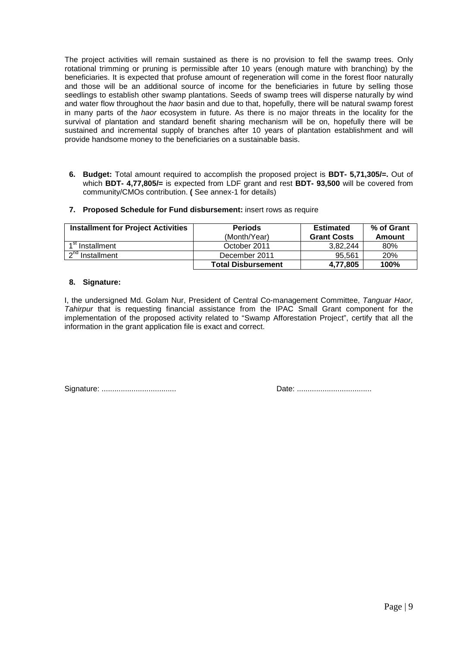The project activities will remain sustained as there is no provision to fell the swamp trees. Only rotational trimming or pruning is permissible after 10 years (enough mature with branching) by the beneficiaries. It is expected that profuse amount of regeneration will come in the forest floor naturally and those will be an additional source of income for the beneficiaries in future by selling those seedlings to establish other swamp plantations. Seeds of swamp trees will disperse naturally by wind and water flow throughout the *haor* basin and due to that, hopefully, there will be natural swamp forest in many parts of the haor ecosystem in future. As there is no major threats in the locality for the survival of plantation and standard benefit sharing mechanism will be on, hopefully there will be sustained and incremental supply of branches after 10 years of plantation establishment and will provide handsome money to the beneficiaries on a sustainable basis.

**6. Budget:** Total amount required to accomplish the proposed project is **BDT- 5,71,305/=.** Out of which **BDT- 4,77,805/=** is expected from LDF grant and rest **BDT- 93,500** will be covered from community/CMOs contribution. **(** See annex-1 for details)

|  |  |  |  | 7. Proposed Schedule for Fund disbursement: insert rows as require |  |  |
|--|--|--|--|--------------------------------------------------------------------|--|--|
|--|--|--|--|--------------------------------------------------------------------|--|--|

| <b>Installment for Project Activities</b> | <b>Periods</b><br>(Month/Year) | <b>Estimated</b><br><b>Grant Costs</b> | % of Grant<br>Amount |
|-------------------------------------------|--------------------------------|----------------------------------------|----------------------|
| $1st$ Installment                         | October 2011                   | 3.82.244                               | 80%                  |
| $\mathsf{h}$ nd<br>Installment            | December 2011                  | 95.561                                 | 20%                  |
|                                           | <b>Total Disbursement</b>      | 4.77.805                               | 100%                 |

#### **8. Signature:**

I, the undersigned Md. Golam Nur, President of Central Co-management Committee, Tanguar Haor, Tahirpur that is requesting financial assistance from the IPAC Small Grant component for the implementation of the proposed activity related to "Swamp Afforestation Project", certify that all the information in the grant application file is exact and correct.

Signature: ................................... Date: ...................................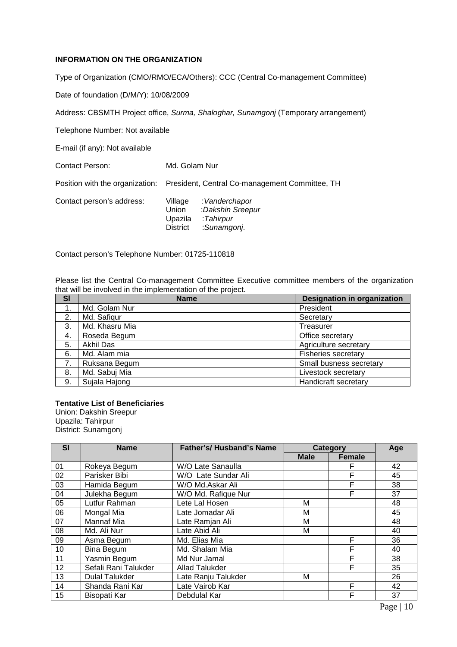# **INFORMATION ON THE ORGANIZATION**

Type of Organization (CMO/RMO/ECA/Others): CCC (Central Co-management Committee)

Date of foundation (D/M/Y): 10/08/2009

Address: CBSMTH Project office, Surma, Shaloghar, Sunamgonj (Temporary arrangement)

Telephone Number: Not available

E-mail (if any): Not available

Contact Person: Md. Golam Nur

Position with the organization: President, Central Co-management Committee, TH

| Contact person's address: | Village         | :Vanderchapor    |
|---------------------------|-----------------|------------------|
|                           | Union           | :Dakshin Sreepur |
|                           | Upazila         | :Tahirpur        |
|                           | <b>District</b> | :Sunamgonj.      |
|                           |                 |                  |

Contact person's Telephone Number: 01725-110818

Please list the Central Co-management Committee Executive committee members of the organization that will be involved in the implementation of the project.

| <b>SI</b> | <b>Name</b>    | <b>Designation in organization</b> |
|-----------|----------------|------------------------------------|
|           | Md. Golam Nur  | President                          |
| 2.        | Md. Safigur    | Secretary                          |
| 3.        | Md. Khasru Mia | Treasurer                          |
| 4.        | Roseda Begum   | Office secretary                   |
| 5.        | Akhil Das      | Agriculture secretary              |
| 6.        | Md. Alam mia   | <b>Fisheries secretary</b>         |
| 7.        | Ruksana Begum  | Small busness secretary            |
| 8.        | Md. Sabuj Mia  | Livestock secretary                |
| 9.        | Sujala Hajong  | Handicraft secretary               |

# **Tentative List of Beneficiaries**

Union: Dakshin Sreepur Upazila: Tahirpur District: Sunamgonj

| <b>SI</b> | <b>Name</b>           | <b>Father's/ Husband's Name</b> | Category    |               | Age |
|-----------|-----------------------|---------------------------------|-------------|---------------|-----|
|           |                       |                                 | <b>Male</b> | <b>Female</b> |     |
| 01        | Rokeya Begum          | W/O Late Sanaulla               |             |               | 42  |
| 02        | Parisker Bibi         | W/O Late Sundar Ali             |             | F             | 45  |
| 03        | Hamida Begum          | W/O Md.Askar Ali                |             | F             | 38  |
| 04        | Julekha Begum         | W/O Md. Rafique Nur             |             | F             | 37  |
| 05        | Lutfur Rahman         | Lete Lal Hosen                  | M           |               | 48  |
| 06        | Mongal Mia            | Late Jomadar Ali                | M           |               | 45  |
| 07        | Mannaf Mia            | Late Ramjan Ali                 | M           |               | 48  |
| 08        | Md. Ali Nur           | Late Abid Ali                   | M           |               | 40  |
| 09        | Asma Begum            | Md. Elias Mia                   |             | F             | 36  |
| 10        | Bina Begum            | Md. Shalam Mia                  |             | F             | 40  |
| 11        | Yasmin Begum          | Md Nur Jamal                    |             | F             | 38  |
| 12        | Sefali Rani Talukder  | <b>Allad Talukder</b>           |             | F             | 35  |
| 13        | <b>Dulal Talukder</b> | Late Ranju Talukder             | M           |               | 26  |
| 14        | Shanda Rani Kar       | Late Vairob Kar                 |             | F             | 42  |
| 15        | Bisopati Kar          | Debdulal Kar                    |             | F             | 37  |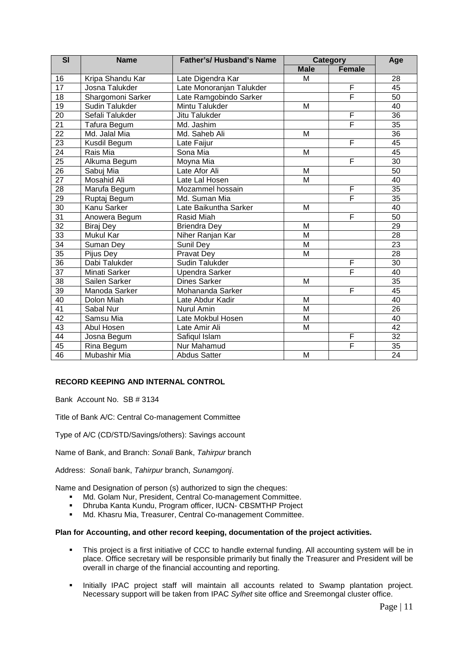| <b>SI</b>       | <b>Name</b>       | <b>Father's/ Husband's Name</b> | Category    |               | Age |
|-----------------|-------------------|---------------------------------|-------------|---------------|-----|
|                 |                   |                                 | <b>Male</b> | <b>Female</b> |     |
| 16              | Kripa Shandu Kar  | Late Digendra Kar               | M           |               | 28  |
| $\overline{17}$ | Josna Talukder    | Late Monoranjan Talukder        |             | F             | 45  |
| 18              | Shargomoni Sarker | Late Ramgobindo Sarker          |             | Ē             | 50  |
| $\overline{19}$ | Sudin Talukder    | Mintu Talukder                  | M           |               | 40  |
| $\overline{20}$ | Sefali Talukder   | Jitu Talukder                   |             | F             | 36  |
| $\overline{21}$ | Tafura Begum      | Md. Jashim                      |             | F             | 35  |
| $\overline{22}$ | Md. Jalal Mia     | Md. Saheb Ali                   | M           |               | 36  |
| $\overline{23}$ | Kusdil Begum      | Late Faijur                     |             | F             | 45  |
| 24              | Rais Mia          | Sona Mia                        | M           |               | 45  |
| $\overline{25}$ | Alkuma Begum      | Moyna Mia                       |             | F             | 30  |
| $\overline{26}$ | Sabuj Mia         | Late Afor Ali                   | M           |               | 50  |
| $\overline{27}$ | Mosahid Ali       | Late Lal Hosen                  | M           |               | 40  |
| $\overline{28}$ | Marufa Begum      | Mozammel hossain                |             | F             | 35  |
| $\overline{29}$ | Ruptaj Begum      | Md. Suman Mia                   |             | Ē             | 35  |
| 30              | Kanu Sarker       | Late Baikuntha Sarker           | M           |               | 40  |
| 31              | Anowera Begum     | Rasid Miah                      |             | F             | 50  |
| 32              | Biraj Dey         | <b>Briendra Dey</b>             | M           |               | 29  |
| 33              | Mukul Kar         | Niher Ranjan Kar                | M           |               | 28  |
| 34              | Suman Dey         | Sunil Dey                       | M           |               | 23  |
| $\overline{35}$ | Pijus Dey         | Pravat Dey                      | M           |               | 28  |
| $\overline{36}$ | Dabi Talukder     | Sudin Talukder                  |             | F             | 30  |
| 37              | Minati Sarker     | <b>Upendra Sarker</b>           |             | F             | 40  |
| 38              | Sailen Sarker     | <b>Dines Sarker</b>             | M           |               | 35  |
| 39              | Manoda Sarker     | Mohananda Sarker                |             | F             | 45  |
| 40              | Dolon Miah        | Late Abdur Kadir                | M           |               | 40  |
| 41              | Sabal Nur         | Nurul Amin                      | M           |               | 26  |
| 42              | Samsu Mia         | Late Mokbul Hosen               | M           |               | 40  |
| 43              | Abul Hosen        | Late Amir Ali                   | M           |               | 42  |
| 44              | Josna Begum       | Safiqul Islam                   |             | F             | 32  |
| 45              | Rina Begum        | Nur Mahamud                     |             | F             | 35  |
| 46              | Mubashir Mia      | <b>Abdus Satter</b>             | M           |               | 24  |

# **RECORD KEEPING AND INTERNAL CONTROL**

Bank Account No. SB # 3134

Title of Bank A/C: Central Co-management Committee

Type of A/C (CD/STD/Savings/others): Savings account

Name of Bank, and Branch: Sonali Bank, Tahirpur branch

Address: Sonali bank, Tahirpur branch, Sunamgonj.

Name and Designation of person (s) authorized to sign the cheques:

- Md. Golam Nur, President, Central Co-management Committee.
- Dhruba Kanta Kundu, Program officer, IUCN- CBSMTHP Project
- Md. Khasru Mia, Treasurer, Central Co-management Committee.

#### **Plan for Accounting, and other record keeping, documentation of the project activities.**

- This project is a first initiative of CCC to handle external funding. All accounting system will be in place. Office secretary will be responsible primarily but finally the Treasurer and President will be overall in charge of the financial accounting and reporting.
- **Initially IPAC project staff will maintain all accounts related to Swamp plantation project.** Necessary support will be taken from IPAC Sylhet site office and Sreemongal cluster office.